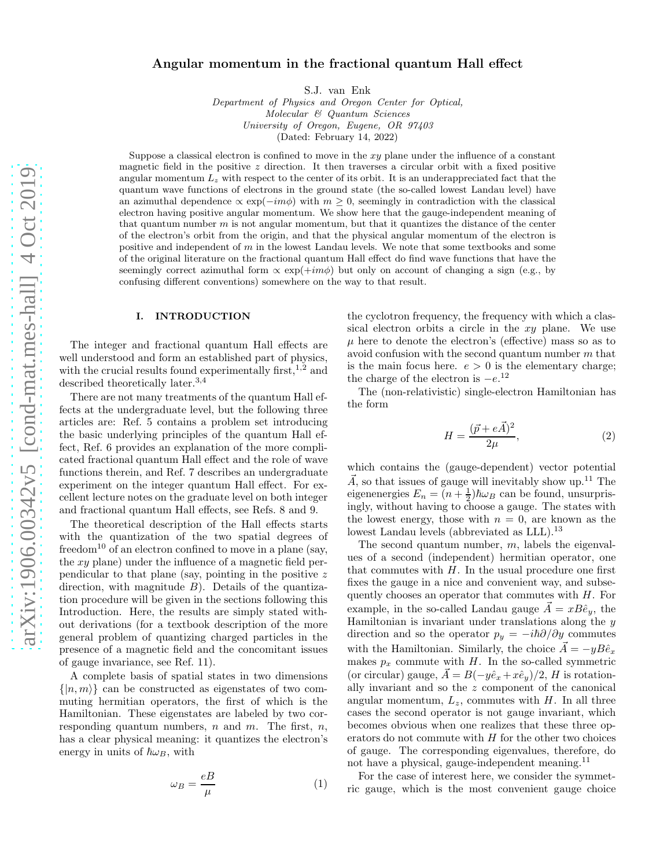# Angular momentum in the fractional quantum Hall effect

S.J. van Enk

Department of Physics and Oregon Center for Optical,  ${Molecular\ \mathcal{C}}\ \mathcal{Q}uantum\ \mathcal{S}ciences$ University of Oregon, Eugene, OR 97403 (Dated: February 14, 2022)

Suppose a classical electron is confined to move in the  $xy$  plane under the influence of a constant magnetic field in the positive  $z$  direction. It then traverses a circular orbit with a fixed positive angular momentum  $L_z$  with respect to the center of its orbit. It is an underappreciated fact that the quantum wave functions of electrons in the ground state (the so-called lowest Landau level) have an azimuthal dependence  $\propto \exp(-im\phi)$  with  $m > 0$ , seemingly in contradiction with the classical electron having positive angular momentum. We show here that the gauge-independent meaning of that quantum number  $m$  is not angular momentum, but that it quantizes the distance of the center of the electron's orbit from the origin, and that the physical angular momentum of the electron is positive and independent of  $m$  in the lowest Landau levels. We note that some textbooks and some of the original literature on the fractional quantum Hall effect do find wave functions that have the seemingly correct azimuthal form  $\propto \exp(+im\phi)$  but only on account of changing a sign (e.g., by confusing different conventions) somewhere on the way to that result.

#### I. INTRODUCTION

The integer and fractional quantum Hall effects are well understood and form an established part of physics, with the crucial results found experimentally first,  $1,2$  and described theoretically later.3,4

There are not many treatments of the quantum Hall effects at the undergraduate level, but the following three articles are: Ref. 5 contains a problem set introducing the basic underlying principles of the quantum Hall effect, Ref. 6 provides an explanation of the more complicated fractional quantum Hall effect and the role of wave functions therein, and Ref. 7 describes an undergraduate experiment on the integer quantum Hall effect. For excellent lecture notes on the graduate level on both integer and fractional quantum Hall effects, see Refs. 8 and 9.

The theoretical description of the Hall effects starts with the quantization of the two spatial degrees of freedom<sup>10</sup> of an electron confined to move in a plane (say, the  $xy$  plane) under the influence of a magnetic field perpendicular to that plane (say, pointing in the positive z direction, with magnitude  $B$ ). Details of the quantization procedure will be given in the sections following this Introduction. Here, the results are simply stated without derivations (for a textbook description of the more general problem of quantizing charged particles in the presence of a magnetic field and the concomitant issues of gauge invariance, see Ref. 11).

A complete basis of spatial states in two dimensions  $\{|n,m\rangle\}$  can be constructed as eigenstates of two commuting hermitian operators, the first of which is the Hamiltonian. These eigenstates are labeled by two corresponding quantum numbers,  $n$  and  $m$ . The first,  $n$ , has a clear physical meaning: it quantizes the electron's energy in units of  $\hbar\omega_B$ , with

$$
\omega_B = \frac{eB}{\mu} \tag{1}
$$

the cyclotron frequency, the frequency with which a classical electron orbits a circle in the xy plane. We use  $\mu$  here to denote the electron's (effective) mass so as to avoid confusion with the second quantum number m that is the main focus here.  $e > 0$  is the elementary charge; the charge of the electron is  $-e^{12}$ 

The (non-relativistic) single-electron Hamiltonian has the form

$$
H = \frac{(\vec{p} + e\vec{A})^2}{2\mu},\tag{2}
$$

which contains the (gauge-dependent) vector potential  $\vec{A}$ , so that issues of gauge will inevitably show up.<sup>11</sup> The eigenenergies  $E_n = (n + \frac{1}{2})\hbar\omega_B$  can be found, unsurprisingly, without having to choose a gauge. The states with the lowest energy, those with  $n = 0$ , are known as the lowest Landau levels (abbreviated as LLL).<sup>13</sup>

The second quantum number,  $m$ , labels the eigenvalues of a second (independent) hermitian operator, one that commutes with  $H$ . In the usual procedure one first fixes the gauge in a nice and convenient way, and subsequently chooses an operator that commutes with  $H$ . For example, in the so-called Landau gauge  $\vec{A} = xB\hat{e}_y$ , the Hamiltonian is invariant under translations along the  $y$ direction and so the operator  $p_y = -i\hbar\partial/\partial y$  commutes with the Hamiltonian. Similarly, the choice  $\vec{A} = -yB\hat{e}_x$ makes  $p_x$  commute with  $H$ . In the so-called symmetric (or circular) gauge,  $\vec{A} = B(-y\hat{e}_x + x\hat{e}_y)/2$ , H is rotationally invariant and so the z component of the canonical angular momentum,  $L_z$ , commutes with H. In all three cases the second operator is not gauge invariant, which becomes obvious when one realizes that these three operators do not commute with H for the other two choices of gauge. The corresponding eigenvalues, therefore, do not have a physical, gauge-independent meaning.<sup>11</sup>

For the case of interest here, we consider the symmetric gauge, which is the most convenient gauge choice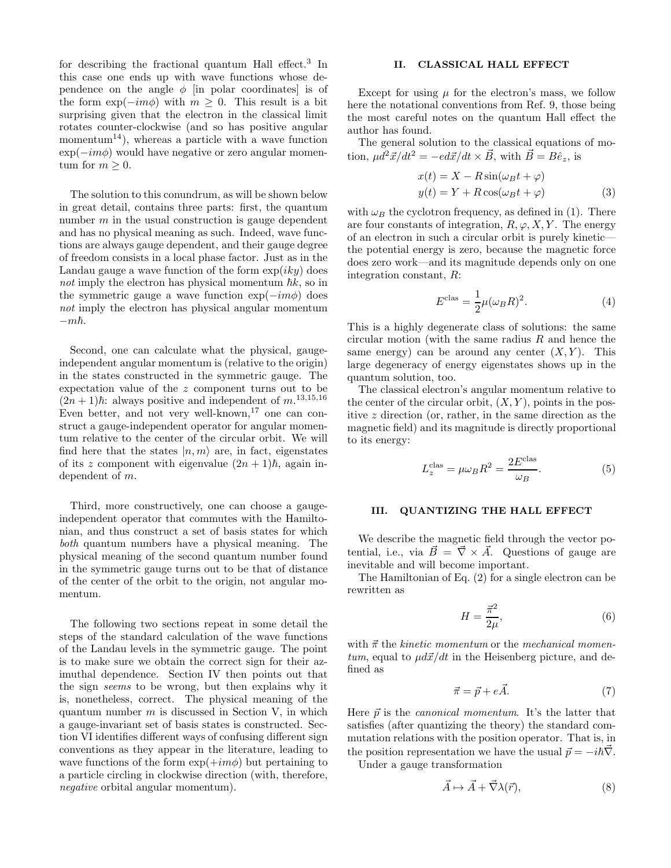for describing the fractional quantum Hall effect.<sup>3</sup> In this case one ends up with wave functions whose dependence on the angle  $\phi$  [in polar coordinates] is of the form  $\exp(-im\phi)$  with  $m \geq 0$ . This result is a bit surprising given that the electron in the classical limit rotates counter-clockwise (and so has positive angular momentum<sup>14</sup>), whereas a particle with a wave function  $\exp(-im\phi)$  would have negative or zero angular momentum for  $m \geq 0$ .

The solution to this conundrum, as will be shown below in great detail, contains three parts: first, the quantum number  $m$  in the usual construction is gauge dependent and has no physical meaning as such. Indeed, wave functions are always gauge dependent, and their gauge degree of freedom consists in a local phase factor. Just as in the Landau gauge a wave function of the form  $\exp(iky)$  does not imply the electron has physical momentum  $\hbar k$ , so in the symmetric gauge a wave function  $\exp(-im\phi)$  does not imply the electron has physical angular momentum  $-m\hbar.$ 

Second, one can calculate what the physical, gaugeindependent angular momentum is (relative to the origin) in the states constructed in the symmetric gauge. The expectation value of the z component turns out to be  $(2n+1)\hbar$ : always positive and independent of  $m^{13,15,16}$ Even better, and not very well-known,  $17$  one can construct a gauge-independent operator for angular momentum relative to the center of the circular orbit. We will find here that the states  $|n, m\rangle$  are, in fact, eigenstates of its z component with eigenvalue  $(2n + 1)\hbar$ , again independent of m.

Third, more constructively, one can choose a gaugeindependent operator that commutes with the Hamiltonian, and thus construct a set of basis states for which both quantum numbers have a physical meaning. The physical meaning of the second quantum number found in the symmetric gauge turns out to be that of distance of the center of the orbit to the origin, not angular momentum.

The following two sections repeat in some detail the steps of the standard calculation of the wave functions of the Landau levels in the symmetric gauge. The point is to make sure we obtain the correct sign for their azimuthal dependence. Section IV then points out that the sign seems to be wrong, but then explains why it is, nonetheless, correct. The physical meaning of the quantum number  $m$  is discussed in Section V, in which a gauge-invariant set of basis states is constructed. Section VI identifies different ways of confusing different sign conventions as they appear in the literature, leading to wave functions of the form  $\exp(+im\phi)$  but pertaining to a particle circling in clockwise direction (with, therefore, negative orbital angular momentum).

# II. CLASSICAL HALL EFFECT

Except for using  $\mu$  for the electron's mass, we follow here the notational conventions from Ref. 9, those being the most careful notes on the quantum Hall effect the author has found.

The general solution to the classical equations of motion,  $\mu d^2 \vec{x}/dt^2 = -ed\vec{x}/dt \times \vec{B}$ , with  $\vec{B} = B\hat{e}_z$ , is

$$
x(t) = X - R\sin(\omega_B t + \varphi)
$$
  

$$
y(t) = Y + R\cos(\omega_B t + \varphi)
$$
 (3)

with  $\omega_B$  the cyclotron frequency, as defined in (1). There are four constants of integration,  $R, \varphi, X, Y$ . The energy of an electron in such a circular orbit is purely kinetic the potential energy is zero, because the magnetic force does zero work—and its magnitude depends only on one integration constant, R:

$$
Eclas = \frac{1}{2}\mu(\omega_B R)^2.
$$
 (4)

This is a highly degenerate class of solutions: the same circular motion (with the same radius  $R$  and hence the same energy) can be around any center  $(X, Y)$ . This large degeneracy of energy eigenstates shows up in the quantum solution, too.

The classical electron's angular momentum relative to the center of the circular orbit,  $(X, Y)$ , points in the positive z direction (or, rather, in the same direction as the magnetic field) and its magnitude is directly proportional to its energy:

$$
L_z^{\text{clas}} = \mu \omega_B R^2 = \frac{2E^{\text{clas}}}{\omega_B}.
$$
 (5)

#### III. QUANTIZING THE HALL EFFECT

We describe the magnetic field through the vector potential, i.e., via  $\vec{B} = \vec{\nabla} \times \vec{A}$ . Questions of gauge are inevitable and will become important.

The Hamiltonian of Eq. (2) for a single electron can be rewritten as

$$
H = \frac{\vec{\pi}^2}{2\mu},\tag{6}
$$

with  $\vec{\pi}$  the kinetic momentum or the mechanical momen $tum$ , equal to  $\mu d\vec{x}/dt$  in the Heisenberg picture, and defined as

$$
\vec{\pi} = \vec{p} + e\vec{A}.\tag{7}
$$

Here  $\vec{p}$  is the *canonical momentum*. It's the latter that satisfies (after quantizing the theory) the standard commutation relations with the position operator. That is, in the position representation we have the usual  $\vec{p} = -i\hbar\vec{\nabla}$ .

Under a gauge transformation

$$
\vec{A} \mapsto \vec{A} + \vec{\nabla}\lambda(\vec{r}),\tag{8}
$$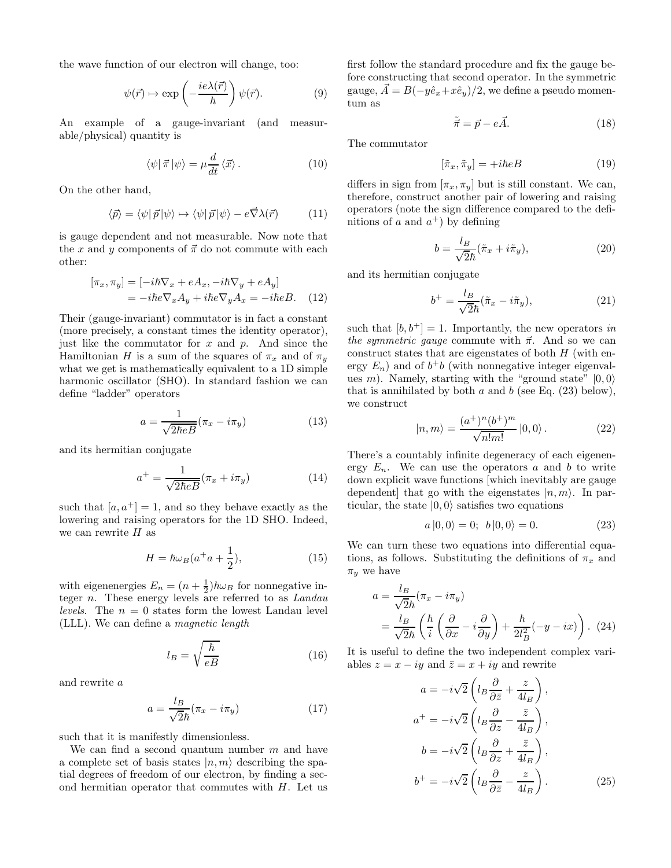the wave function of our electron will change, too:

$$
\psi(\vec{r}) \mapsto \exp\left(-\frac{ie\lambda(\vec{r})}{\hbar}\right)\psi(\vec{r}).\tag{9}
$$

An example of a gauge-invariant (and measurable/physical) quantity is

$$
\langle \psi | \vec{\pi} | \psi \rangle = \mu \frac{d}{dt} \langle \vec{x} \rangle.
$$
 (10)

On the other hand,

$$
\langle \vec{p} \rangle = \langle \psi | \vec{p} | \psi \rangle \mapsto \langle \psi | \vec{p} | \psi \rangle - e \vec{\nabla} \lambda(\vec{r}) \tag{11}
$$

is gauge dependent and not measurable. Now note that the x and y components of  $\vec{\pi}$  do not commute with each other:

$$
[\pi_x, \pi_y] = [-i\hbar \nabla_x + eA_x, -i\hbar \nabla_y + eA_y]
$$
  
=  $-i\hbar e \nabla_x A_y + i\hbar e \nabla_y A_x = -i\hbar eB.$  (12)

Their (gauge-invariant) commutator is in fact a constant (more precisely, a constant times the identity operator), just like the commutator for  $x$  and  $p$ . And since the Hamiltonian H is a sum of the squares of  $\pi_x$  and of  $\pi_y$ what we get is mathematically equivalent to a 1D simple harmonic oscillator (SHO). In standard fashion we can define "ladder" operators

$$
a = \frac{1}{\sqrt{2\hbar eB}} (\pi_x - i\pi_y) \tag{13}
$$

and its hermitian conjugate

$$
a^{+} = \frac{1}{\sqrt{2\hbar eB}} (\pi_x + i\pi_y) \tag{14}
$$

such that  $[a, a^+] = 1$ , and so they behave exactly as the lowering and raising operators for the 1D SHO. Indeed, we can rewrite  $H$  as

$$
H = \hbar\omega_B(a^+a + \frac{1}{2}),\tag{15}
$$

with eigenenergies  $E_n = (n + \frac{1}{2})\hbar\omega_B$  for nonnegative integer n. These energy levels are referred to as Landau *levels.* The  $n = 0$  states form the lowest Landau level (LLL). We can define a magnetic length

$$
l_B = \sqrt{\frac{\hbar}{eB}}\tag{16}
$$

and rewrite a

$$
a = \frac{l_B}{\sqrt{2}\hbar}(\pi_x - i\pi_y) \tag{17}
$$

such that it is manifestly dimensionless.

We can find a second quantum number  $m$  and have a complete set of basis states  $|n,m\rangle$  describing the spatial degrees of freedom of our electron, by finding a second hermitian operator that commutes with  $H$ . Let us

first follow the standard procedure and fix the gauge before constructing that second operator. In the symmetric gauge,  $\vec{A} = B(-y\hat{e}_x+x\hat{e}_y)/2$ , we define a pseudo momentum as

$$
\tilde{\vec{\pi}} = \vec{p} - e\vec{A}.\tag{18}
$$

The commutator

$$
[\tilde{\pi}_x, \tilde{\pi}_y] = +i\hbar eB\tag{19}
$$

differs in sign from  $[\pi_x, \pi_y]$  but is still constant. We can, therefore, construct another pair of lowering and raising operators (note the sign difference compared to the definitions of a and  $a^+$ ) by defining

$$
b = \frac{l_B}{\sqrt{2}\hbar} (\tilde{\pi}_x + i\tilde{\pi}_y), \tag{20}
$$

and its hermitian conjugate

$$
b^{+} = \frac{l_B}{\sqrt{2}\hbar}(\tilde{\pi}_x - i\tilde{\pi}_y),
$$
\n(21)

such that  $[b, b^+] = 1$ . Importantly, the new operators in the symmetric gauge commute with  $\vec{\pi}$ . And so we can construct states that are eigenstates of both  $H$  (with energy  $E_n$ ) and of  $b^+b$  (with nonnegative integer eigenvalues m). Namely, starting with the "ground state"  $|0,0\rangle$ that is annihilated by both  $a$  and  $b$  (see Eq. (23) below), we construct

$$
|n,m\rangle = \frac{(a^+)^n (b^+)^m}{\sqrt{n!m!}} |0,0\rangle.
$$
 (22)

There's a countably infinite degeneracy of each eigenenergy  $E_n$ . We can use the operators a and b to write down explicit wave functions [which inevitably are gauge dependent] that go with the eigenstates  $|n, m\rangle$ . In particular, the state  $|0,0\rangle$  satisfies two equations

$$
a|0,0\rangle = 0; \, b|0,0\rangle = 0. \tag{23}
$$

We can turn these two equations into differential equations, as follows. Substituting the definitions of  $\pi_x$  and  $\pi_y$  we have

$$
a = \frac{l_B}{\sqrt{2}\hbar} (\pi_x - i\pi_y)
$$
  
=  $\frac{l_B}{\sqrt{2}\hbar} \left( \frac{\hbar}{i} \left( \frac{\partial}{\partial x} - i \frac{\partial}{\partial y} \right) + \frac{\hbar}{2l_B^2} (-y - ix) \right)$ . (24)

It is useful to define the two independent complex variables  $z = x - iy$  and  $\overline{z} = x + iy$  and rewrite

$$
a = -i\sqrt{2}\left(l_B \frac{\partial}{\partial \bar{z}} + \frac{z}{4l_B}\right),
$$
  
\n
$$
a^+ = -i\sqrt{2}\left(l_B \frac{\partial}{\partial z} - \frac{\bar{z}}{4l_B}\right),
$$
  
\n
$$
b = -i\sqrt{2}\left(l_B \frac{\partial}{\partial z} + \frac{\bar{z}}{4l_B}\right),
$$
  
\n
$$
b^+ = -i\sqrt{2}\left(l_B \frac{\partial}{\partial \bar{z}} - \frac{z}{4l_B}\right).
$$
 (25)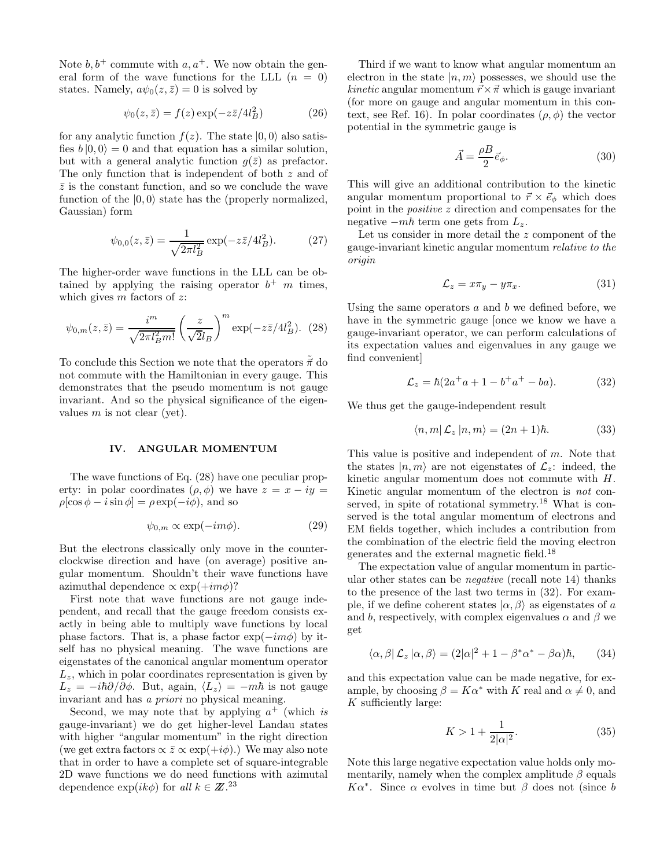Note  $b, b^+$  commute with  $a, a^+$ . We now obtain the general form of the wave functions for the LLL  $(n = 0)$ states. Namely,  $a\psi_0(z,\bar{z})=0$  is solved by

$$
\psi_0(z,\bar{z}) = f(z) \exp(-z\bar{z}/4l_B^2)
$$
 (26)

for any analytic function  $f(z)$ . The state  $|0,0\rangle$  also satisfies  $b |0, 0\rangle = 0$  and that equation has a similar solution, but with a general analytic function  $g(\bar{z})$  as prefactor. The only function that is independent of both z and of  $\bar{z}$  is the constant function, and so we conclude the wave function of the  $|0, 0\rangle$  state has the (properly normalized, Gaussian) form

$$
\psi_{0,0}(z,\bar{z}) = \frac{1}{\sqrt{2\pi l_B^2}} \exp(-z\bar{z}/4l_B^2). \tag{27}
$$

The higher-order wave functions in the LLL can be obtained by applying the raising operator  $b^+$  m times, which gives  $m$  factors of  $z$ :

$$
\psi_{0,m}(z,\bar{z}) = \frac{i^m}{\sqrt{2\pi l_B^2 m!}} \left(\frac{z}{\sqrt{2l_B}}\right)^m \exp(-z\bar{z}/4l_B^2). (28)
$$

To conclude this Section we note that the operators  $\tilde{\vec{\pi}}$  do not commute with the Hamiltonian in every gauge. This demonstrates that the pseudo momentum is not gauge invariant. And so the physical significance of the eigenvalues  $m$  is not clear (yet).

#### IV. ANGULAR MOMENTUM

The wave functions of Eq. (28) have one peculiar property: in polar coordinates  $(\rho, \phi)$  we have  $z = x - iy =$  $\rho[\cos \phi - i \sin \phi] = \rho \exp(-i\phi)$ , and so

$$
\psi_{0,m} \propto \exp(-im\phi). \tag{29}
$$

But the electrons classically only move in the counterclockwise direction and have (on average) positive angular momentum. Shouldn't their wave functions have azimuthal dependence  $\propto \exp(+im\phi)$ ?

First note that wave functions are not gauge independent, and recall that the gauge freedom consists exactly in being able to multiply wave functions by local phase factors. That is, a phase factor  $\exp(-im\phi)$  by itself has no physical meaning. The wave functions are eigenstates of the canonical angular momentum operator  $L_z$ , which in polar coordinates representation is given by  $L_z = -i\hbar\partial/\partial\phi$ . But, again,  $\langle L_z \rangle = -m\hbar$  is not gauge invariant and has a priori no physical meaning.

Second, we may note that by applying  $a^+$  (which is gauge-invariant) we do get higher-level Landau states with higher "angular momentum" in the right direction (we get extra factors  $\propto \bar{z} \propto \exp(+i\phi)$ .) We may also note that in order to have a complete set of square-integrable 2D wave functions we do need functions with azimutal dependence  $\exp(ik\phi)$  for all  $k \in \mathbb{Z}^{23}$ 

Third if we want to know what angular momentum an electron in the state  $|n, m\rangle$  possesses, we should use the *kinetic* angular momentum  $\vec{r} \times \vec{\pi}$  which is gauge invariant (for more on gauge and angular momentum in this context, see Ref. 16). In polar coordinates  $(\rho, \phi)$  the vector potential in the symmetric gauge is

$$
\vec{A} = \frac{\rho B}{2} \vec{e}_{\phi}.
$$
 (30)

This will give an additional contribution to the kinetic angular momentum proportional to  $\vec{r} \times \vec{e}_{\phi}$  which does point in the positive z direction and compensates for the negative  $-m\hbar$  term one gets from  $L_z$ .

Let us consider in more detail the z component of the gauge-invariant kinetic angular momentum relative to the origin

$$
\mathcal{L}_z = x\pi_y - y\pi_x. \tag{31}
$$

Using the same operators  $a$  and  $b$  we defined before, we have in the symmetric gauge [once we know we have a gauge-invariant operator, we can perform calculations of its expectation values and eigenvalues in any gauge we find convenient]

$$
\mathcal{L}_z = \hbar (2a^+a + 1 - b^+a^+ - ba). \tag{32}
$$

We thus get the gauge-independent result

$$
\langle n, m | \mathcal{L}_z | n, m \rangle = (2n + 1)\hbar. \tag{33}
$$

This value is positive and independent of m. Note that the states  $|n, m\rangle$  are not eigenstates of  $\mathcal{L}_z$ : indeed, the kinetic angular momentum does not commute with H. Kinetic angular momentum of the electron is not conserved, in spite of rotational symmetry.<sup>18</sup> What is conserved is the total angular momentum of electrons and EM fields together, which includes a contribution from the combination of the electric field the moving electron generates and the external magnetic field.<sup>18</sup>

The expectation value of angular momentum in particular other states can be negative (recall note 14) thanks to the presence of the last two terms in (32). For example, if we define coherent states  $|\alpha, \beta\rangle$  as eigenstates of a and b, respectively, with complex eigenvalues  $\alpha$  and  $\beta$  we get

$$
\langle \alpha, \beta | \mathcal{L}_z | \alpha, \beta \rangle = (2|\alpha|^2 + 1 - \beta^* \alpha^* - \beta \alpha) \hbar, \qquad (34)
$$

and this expectation value can be made negative, for example, by choosing  $\beta = K\alpha^*$  with K real and  $\alpha \neq 0$ , and  $K$  sufficiently large:

$$
K > 1 + \frac{1}{2|\alpha|^2}.\tag{35}
$$

Note this large negative expectation value holds only momentarily, namely when the complex amplitude  $\beta$  equals  $K\alpha^*$ . Since α evolves in time but β does not (since b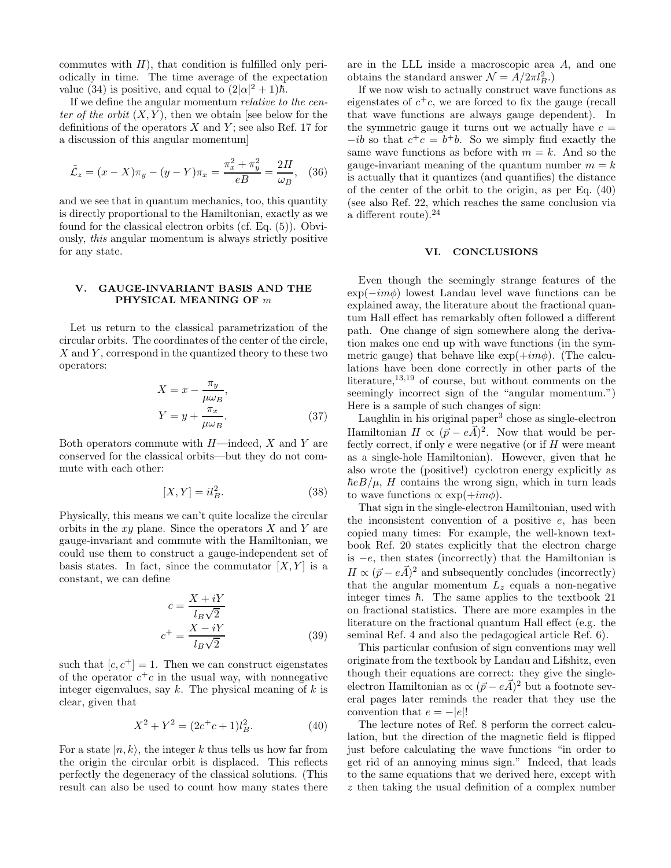commutes with  $H$ ), that condition is fulfilled only periodically in time. The time average of the expectation value (34) is positive, and equal to  $(2|\alpha|^2 + 1)\hbar$ .

If we define the angular momentum relative to the center of the orbit  $(X, Y)$ , then we obtain [see below for the definitions of the operators  $X$  and  $Y$ ; see also Ref. 17 for a discussion of this angular momentum]

$$
\tilde{\mathcal{L}}_z = (x - X)\pi_y - (y - Y)\pi_x = \frac{\pi_x^2 + \pi_y^2}{eB} = \frac{2H}{\omega_B}, \quad (36)
$$

and we see that in quantum mechanics, too, this quantity is directly proportional to the Hamiltonian, exactly as we found for the classical electron orbits (cf. Eq. (5)). Obviously, this angular momentum is always strictly positive for any state.

## V. GAUGE-INVARIANT BASIS AND THE PHYSICAL MEANING OF m

Let us return to the classical parametrization of the circular orbits. The coordinates of the center of the circle,  $X$  and  $Y$ , correspond in the quantized theory to these two operators:

$$
X = x - \frac{\pi_y}{\mu \omega_B},
$$
  
\n
$$
Y = y + \frac{\pi_x}{\mu \omega_B}.
$$
 (37)

Both operators commute with  $H$ —indeed,  $X$  and  $Y$  are conserved for the classical orbits—but they do not commute with each other:

$$
[X,Y] = il_B^2.
$$
\n(38)

Physically, this means we can't quite localize the circular orbits in the  $xy$  plane. Since the operators  $X$  and  $Y$  are gauge-invariant and commute with the Hamiltonian, we could use them to construct a gauge-independent set of basis states. In fact, since the commutator  $[X, Y]$  is a constant, we can define

$$
c = \frac{X + iY}{l_B \sqrt{2}}
$$
  

$$
c^+ = \frac{X - iY}{l_B \sqrt{2}}
$$
 (39)

such that  $[c, c^+] = 1$ . Then we can construct eigenstates of the operator  $c^+c$  in the usual way, with nonnegative integer eigenvalues, say  $k$ . The physical meaning of  $k$  is clear, given that

$$
X^2 + Y^2 = (2c^+c + 1)l_B^2.
$$
 (40)

For a state  $|n, k\rangle$ , the integer k thus tells us how far from the origin the circular orbit is displaced. This reflects perfectly the degeneracy of the classical solutions. (This result can also be used to count how many states there are in the LLL inside a macroscopic area A, and one obtains the standard answer  $\mathcal{N} = A/2\pi l_B^2$ .

If we now wish to actually construct wave functions as eigenstates of  $c^+c$ , we are forced to fix the gauge (recall that wave functions are always gauge dependent). In the symmetric gauge it turns out we actually have  $c =$  $-i\bar{b}$  so that  $c^+c = b^+b$ . So we simply find exactly the same wave functions as before with  $m = k$ . And so the gauge-invariant meaning of the quantum number  $m = k$ is actually that it quantizes (and quantifies) the distance of the center of the orbit to the origin, as per Eq. (40) (see also Ref. 22, which reaches the same conclusion via a different route).<sup>24</sup>

## VI. CONCLUSIONS

Even though the seemingly strange features of the  $\exp(-im\phi)$  lowest Landau level wave functions can be explained away, the literature about the fractional quantum Hall effect has remarkably often followed a different path. One change of sign somewhere along the derivation makes one end up with wave functions (in the symmetric gauge) that behave like  $\exp(+im\phi)$ . (The calculations have been done correctly in other parts of the literature,<sup>13,19</sup> of course, but without comments on the seemingly incorrect sign of the "angular momentum.") Here is a sample of such changes of sign:

Laughlin in his original paper<sup>3</sup> chose as single-electron Hamiltonian  $H \propto (\vec{p} - e\vec{A})^2$ . Now that would be perfectly correct, if only  $e$  were negative (or if  $H$  were meant as a single-hole Hamiltonian). However, given that he also wrote the (positive!) cyclotron energy explicitly as  $\hbar e B/\mu$ , H contains the wrong sign, which in turn leads to wave functions  $\propto \exp(+im\phi)$ .

That sign in the single-electron Hamiltonian, used with the inconsistent convention of a positive  $e$ , has been copied many times: For example, the well-known textbook Ref. 20 states explicitly that the electron charge is  $-e$ , then states (incorrectly) that the Hamiltonian is  $H \propto (\vec{p} - e\vec{A})^2$  and subsequently concludes (incorrectly) that the angular momentum  $L<sub>z</sub>$  equals a non-negative integer times  $\hbar$ . The same applies to the textbook 21 on fractional statistics. There are more examples in the literature on the fractional quantum Hall effect (e.g. the seminal Ref. 4 and also the pedagogical article Ref. 6).

This particular confusion of sign conventions may well originate from the textbook by Landau and Lifshitz, even though their equations are correct: they give the singleelectron Hamiltonian as  $\propto (\vec{p} - e\vec{A})^2$  but a footnote several pages later reminds the reader that they use the convention that  $e = -|e|!$ 

The lecture notes of Ref. 8 perform the correct calculation, but the direction of the magnetic field is flipped just before calculating the wave functions "in order to get rid of an annoying minus sign." Indeed, that leads to the same equations that we derived here, except with z then taking the usual definition of a complex number